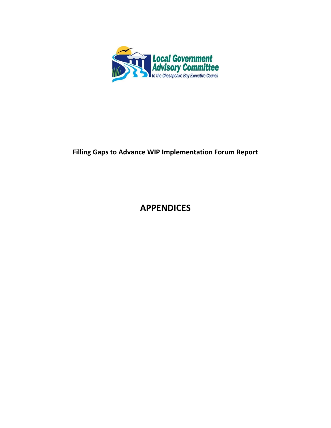

# **Filling Gaps to Advance WIP Implementation Forum Report**

# **APPENDICES**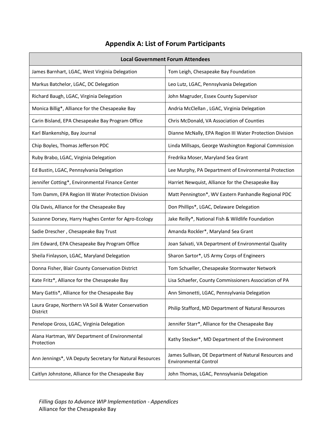# **Appendix A: List of Forum Participants**

| <b>Local Government Forum Attendees</b>                        |                                                                                        |  |  |
|----------------------------------------------------------------|----------------------------------------------------------------------------------------|--|--|
| James Barnhart, LGAC, West Virginia Delegation                 | Tom Leigh, Chesapeake Bay Foundation                                                   |  |  |
| Markus Batchelor, LGAC, DC Delegation                          | Leo Lutz, LGAC, Pennsylvania Delegation                                                |  |  |
| Richard Baugh, LGAC, Virginia Delegation                       | John Magruder, Essex County Supervisor                                                 |  |  |
| Monica Billig*, Alliance for the Chesapeake Bay                | Andria McClellan, LGAC, Virginia Delegation                                            |  |  |
| Carin Bisland, EPA Chesapeake Bay Program Office               | Chris McDonald, VA Association of Counties                                             |  |  |
| Karl Blankenship, Bay Journal                                  | Dianne McNally, EPA Region III Water Protection Division                               |  |  |
| Chip Boyles, Thomas Jefferson PDC                              | Linda Millsaps, George Washington Regional Commission                                  |  |  |
| Ruby Brabo, LGAC, Virginia Delegation                          | Fredrika Moser, Maryland Sea Grant                                                     |  |  |
| Ed Bustin, LGAC, Pennsylvania Delegation                       | Lee Murphy, PA Department of Environmental Protection                                  |  |  |
| Jennifer Cotting*, Environmental Finance Center                | Harriet Newquist, Alliance for the Chesapeake Bay                                      |  |  |
| Tom Damm, EPA Region III Water Protection Division             | Matt Pennington*, WV Eastern Panhandle Regional PDC                                    |  |  |
| Ola Davis, Alliance for the Chesapeake Bay                     | Don Phillips*, LGAC, Delaware Delegation                                               |  |  |
| Suzanne Dorsey, Harry Hughes Center for Agro-Ecology           | Jake Reilly*, National Fish & Wildlife Foundation                                      |  |  |
| Sadie Drescher, Chesapeake Bay Trust                           | Amanda Rockler*, Maryland Sea Grant                                                    |  |  |
| Jim Edward, EPA Chesapeake Bay Program Office                  | Joan Salvati, VA Department of Environmental Quality                                   |  |  |
| Sheila Finlayson, LGAC, Maryland Delegation                    | Sharon Sartor*, US Army Corps of Engineers                                             |  |  |
| Donna Fisher, Blair County Conservation District               | Tom Schueller, Chesapeake Stormwater Network                                           |  |  |
| Kate Fritz*, Alliance for the Chesapeake Bay                   | Lisa Schaefer, County Commissioners Association of PA                                  |  |  |
| Mary Gattis*, Alliance for the Chesapeake Bay                  | Ann Simonetti, LGAC, Pennsylvania Delegation                                           |  |  |
| Laura Grape, Northern VA Soil & Water Conservation<br>District | Philip Stafford, MD Department of Natural Resources                                    |  |  |
| Penelope Gross, LGAC, Virginia Delegation                      | Jennifer Starr*, Alliance for the Chesapeake Bay                                       |  |  |
| Alana Hartman, WV Department of Environmental<br>Protection    | Kathy Stecker*, MD Department of the Environment                                       |  |  |
| Ann Jennings*, VA Deputy Secretary for Natural Resources       | James Sullivan, DE Department of Natural Resources and<br><b>Environmental Control</b> |  |  |
| Caitlyn Johnstone, Alliance for the Chesapeake Bay             | John Thomas, LGAC, Pennsylvania Delegation                                             |  |  |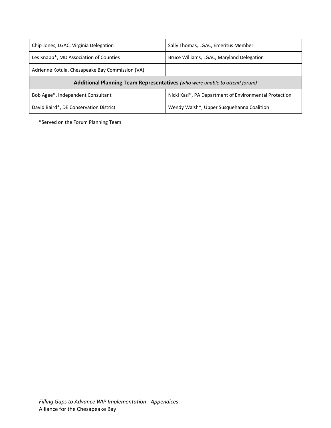| Chip Jones, LGAC, Virginia Delegation                                      | Sally Thomas, LGAC, Emeritus Member                    |  |
|----------------------------------------------------------------------------|--------------------------------------------------------|--|
| Les Knapp <sup>*</sup> , MD Association of Counties                        | Bruce Williams, LGAC, Maryland Delegation              |  |
| Adrienne Kotula, Chesapeake Bay Commission (VA)                            |                                                        |  |
|                                                                            |                                                        |  |
| Additional Planning Team Representatives (who were unable to attend forum) |                                                        |  |
| Bob Agee*, Independent Consultant                                          | Nicki Kasi*, PA Department of Environmental Protection |  |

\*Served on the Forum Planning Team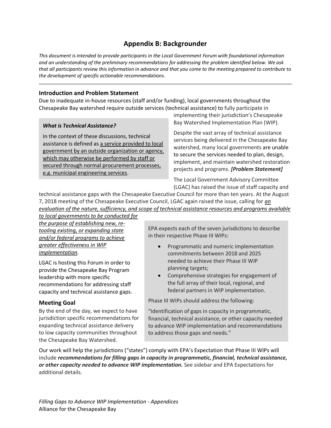# **Appendix B: Backgrounder**

*This document is intended to provide participants in the Local Government Forum with foundational information and an understanding of the preliminary recommendations for addressing the problem identified below. We ask that all participants review this information in advance and that you come to the meeting prepared to contribute to the development of specific actionable recommendations.* 

## **Introduction and Problem Statement**

Due to inadequate in-house resources (staff and/or funding), local governments throughout the Chesapeake Bay watershed require outside services (technical assistance) to fully participate in

#### *What is Technical Assistance?*

In the context of these discussions, technical assistance is defined as a service provided to local government by an outside organization or agency, which may otherwise be performed by staff or secured through normal procurement processes, e.g. municipal engineering services.

implementing their jurisdiction's Chesapeake Bay Watershed Implementation Plan (WIP).

Despite the vast array of technical assistance services being delivered in the Chesapeake Bay watershed, many local governments are unable to secure the services needed to plan, design, implement, and maintain watershed restoration projects and programs. *[Problem Statement]*

The Local Government Advisory Committee (LGAC) has raised the issue of staff capacity and

technical assistance gaps with the Chesapeake Executive Council for more than ten years. At the August 7, 2018 meeting of the Chesapeake Executive Council, LGAC again raised the issue, calling for *an evaluation of the nature, sufficiency, and scope of technical assistance resources and programs available* 

*to local governments to be conducted for the purpose of establishing new, retooling existing, or expanding state and/or federal programs to achieve greater effectiveness in WIP implementation.* 

LGAC is hosting this Forum in order to provide the Chesapeake Bay Program leadership with more specific recommendations for addressing staff capacity and technical assistance gaps.

### **Meeting Goal**

By the end of the day, we expect to have jurisdiction specific recommendations for expanding technical assistance delivery to low capacity communities throughout the Chesapeake Bay Watershed.

EPA expects each of the seven jurisdictions to describe in their respective Phase III WIPs:

- Programmatic and numeric implementation commitments between 2018 and 2025 needed to achieve their Phase III WIP planning targets;
- Comprehensive strategies for engagement of the full array of their local, regional, and federal partners in WIP implementation.

Phase III WIPs should address the following:

"Identification of gaps in capacity in programmatic, financial, technical assistance, or other capacity needed to advance WIP implementation and recommendations to address those gaps and needs."

Our work will help the jurisdictions ("states") comply with EPA's Expectation that Phase III WIPs will include *recommendations for filling gaps in capacity in programmatic, financial, technical assistance, or other capacity needed to advance WIP implementation.* See sidebar and EPA Expectations for additional details.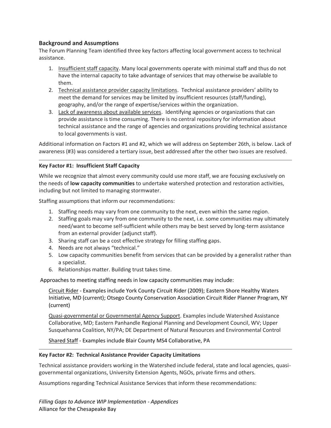## **Background and Assumptions**

The Forum Planning Team identified three key factors affecting local government access to technical assistance.

- 1. Insufficient staff capacity. Many local governments operate with minimal staff and thus do not have the internal capacity to take advantage of services that may otherwise be available to them.
- 2. Technical assistance provider capacity limitations. Technical assistance providers' ability to meet the demand for services may be limited by insufficient resources (staff/funding), geography, and/or the range of expertise/services within the organization.
- 3. Lack of awareness about available services. Identifying agencies or organizations that can provide assistance is time consuming. There is no central repository for information about technical assistance and the range of agencies and organizations providing technical assistance to local governments is vast.

Additional information on Factors #1 and #2, which we will address on September 26th, is below. Lack of awareness (#3) was considered a tertiary issue, best addressed after the other two issues are resolved.

### **Key Factor #1: Insufficient Staff Capacity**

While we recognize that almost every community could use more staff, we are focusing exclusively on the needs of **low capacity communities** to undertake watershed protection and restoration activities, including but not limited to managing stormwater.

Staffing assumptions that inform our recommendations:

- 1. Staffing needs may vary from one community to the next, even within the same region.
- 2. Staffing goals may vary from one community to the next, i.e. some communities may ultimately need/want to become self-sufficient while others may be best served by long-term assistance from an external provider (adjunct staff).
- 3. Sharing staff can be a cost effective strategy for filling staffing gaps.
- 4. Needs are not always "technical."
- 5. Low capacity communities benefit from services that can be provided by a generalist rather than a specialist.
- 6. Relationships matter. Building trust takes time.

Approaches to meeting staffing needs in low capacity communities may include:

Circuit Rider - Examples include York County Circuit Rider (2009); Eastern Shore Healthy Waters Initiative, MD (current); Otsego County Conservation Association Circuit Rider Planner Program, NY (current)

Quasi-governmental or Governmental Agency Support. Examples include Watershed Assistance Collaborative, MD; Eastern Panhandle Regional Planning and Development Council, WV; Upper Susquehanna Coalition, NY/PA; DE Department of Natural Resources and Environmental Control

Shared Staff - Examples include Blair County MS4 Collaborative, PA

### **Key Factor #2: Technical Assistance Provider Capacity Limitations**

Technical assistance providers working in the Watershed include federal, state and local agencies, quasigovernmental organizations, University Extension Agents, NGOs, private firms and others.

Assumptions regarding Technical Assistance Services that inform these recommendations: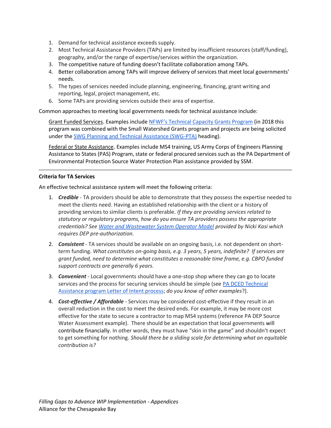- 1. Demand for technical assistance exceeds supply.
- 2. Most Technical Assistance Providers (TAPs) are limited by insufficient resources (staff/funding), geography, and/or the range of expertise/services within the organization.
- 3. The competitive nature of funding doesn't facilitate collaboration among TAPs.
- 4. Better collaboration among TAPs will improve delivery of services that meet local governments' needs.
- 5. The types of services needed include planning, engineering, financing, grant writing and reporting, legal, project management, etc.
- 6. Some TAPs are providing services outside their area of expertise.

Common approaches to meeting local governments needs for technical assistance include:

Grant Funded Services. Examples include [NFWF's Technical Capacity Grants Program](https://www.nfwf.org/chesapeake/Pages/tcgp2017rfp.aspx) (in 2018 this program was combined with the Small Watershed Grants program and projects are being solicited under the [SWG Planning and Technical Assistance \(SWG-PTA\)](https://www.nfwf.org/chesapeake/Pages/2018-swg-rfp.aspx) heading).

Federal or State Assistance. Examples include MS4 training, US Army Corps of Engineers Planning Assistance to States (PAS) Program, state or federal procured services such as the PA Department of Environmental Protection Source Water Protection Plan assistance provided by SSM.

### **Criteria for TA Services**

An effective technical assistance system will meet the following criteria:

- 1. *Credible*  TA providers should be able to demonstrate that they possess the expertise needed to meet the clients need. Having an established relationship with the client or a history of providing services to similar clients is preferable. *If they are providing services related to statutory or regulatory programs, how do you ensure TA providers possess the appropriate credentials? See [Water and Wastewater System Operator Model](https://drive.google.com/open?id=0BwqucChnhWGIRTBXLTNoNFlrckZUN2EwblVsOHRiUWkwYzNJ) provided by Nicki Kasi which requires DEP pre-authorization.*
- 2. *Consistent* TA services should be available on an ongoing basis, i.e. not dependent on shortterm funding. *What constitutes on-going basis, e.g. 3 years, 5 years, indefinite? If services are grant funded, need to determine what constitutes a reasonable time frame, e.g. CBPO funded support contracts are generally 6 years.*
- 3. *Convenient* Local governments should have a one-stop shop where they can go to locate services and the process for securing services should be simple (see PA DCED Technical [Assistance program Letter of Intent process;](https://dced.pa.gov/local-government/technical-assistance/) *do you know of other examples*?).
- 4. *Cost-effective / Affordable* Services may be considered cost-effective if they result in an overall reduction in the cost to meet the desired ends. For example, it may be more cost effective for the state to secure a contractor to map MS4 systems (reference PA DEP Source Water Assessment example). There should be an expectation that local governments will contribute financially. In other words, they must have "skin in the game" and shouldn't expect to get something for nothing. *Should there be a sliding scale for determining what an equitable contribution is?*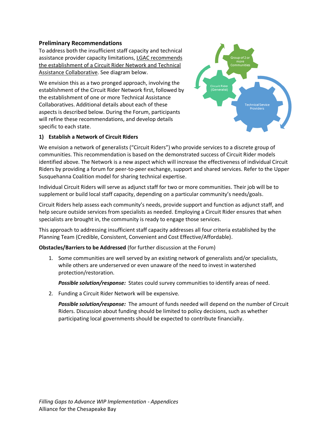### **Preliminary Recommendations**

To address both the insufficient staff capacity and technical assistance provider capacity limitations, LGAC recommends the establishment of a Circuit Rider Network and Technical Assistance Collaborative. See diagram below.

We envision this as a two pronged approach, involving the establishment of the Circuit Rider Network first, followed by the establishment of one or more Technical Assistance Collaboratives. Additional details about each of these aspects is described below. During the Forum, participants will refine these recommendations, and develop details specific to each state.



### **1) Establish a Network of Circuit Riders**

We envision a network of generalists ("Circuit Riders") who provide services to a discrete group of communities. This recommendation is based on the demonstrated success of Circuit Rider models identified above. The Network is a new aspect which will increase the effectiveness of individual Circuit Riders by providing a forum for peer-to-peer exchange, support and shared services. Refer to the Upper Susquehanna Coalition model for sharing technical expertise.

Individual Circuit Riders will serve as adjunct staff for two or more communities. Their job will be to supplement or build local staff capacity, depending on a particular community's needs/goals.

Circuit Riders help assess each community's needs, provide support and function as adjunct staff, and help secure outside services from specialists as needed. Employing a Circuit Rider ensures that when specialists are brought in, the community is ready to engage those services.

This approach to addressing insufficient staff capacity addresses all four criteria established by the Planning Team (Credible, Consistent, Convenient and Cost Effective/Affordable).

**Obstacles/Barriers to be Addressed** (for further discussion at the Forum)

1. Some communities are well served by an existing network of generalists and/or specialists, while others are underserved or even unaware of the need to invest in watershed protection/restoration.

*Possible solution/response:* States could survey communities to identify areas of need.

2. Funding a Circuit Rider Network will be expensive.

*Possible solution/response:* The amount of funds needed will depend on the number of Circuit Riders. Discussion about funding should be limited to policy decisions, such as whether participating local governments should be expected to contribute financially.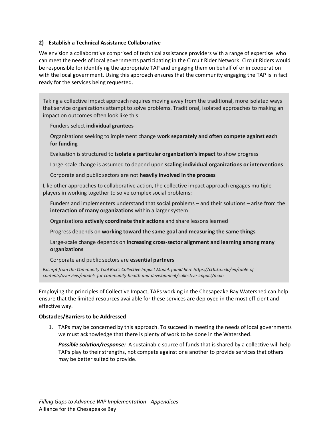### **2) Establish a Technical Assistance Collaborative**

We envision a collaborative comprised of technical assistance providers with a range of expertise who can meet the needs of local governments participating in the Circuit Rider Network. Circuit Riders would be responsible for identifying the appropriate TAP and engaging them on behalf of or in cooperation with the local government. Using this approach ensures that the community engaging the TAP is in fact ready for the services being requested.

Taking a collective impact approach requires moving away from the traditional, more isolated ways that service organizations attempt to solve problems. Traditional, isolated approaches to making an impact on outcomes often look like this:

Funders select **individual grantees**

Organizations seeking to implement change **work separately and often compete against each for funding**

Evaluation is structured to **isolate a particular organization's impact** to show progress

Large-scale change is assumed to depend upon **scaling individual organizations or interventions**

Corporate and public sectors are not **heavily involved in the process**

Like other approaches to collaborative action, the collective impact approach engages multiple players in working together to solve complex social problems:

Funders and implementers understand that social problems – and their solutions – arise from the **interaction of many organizations** within a larger system

Organizations **actively coordinate their actions** and share lessons learned

Progress depends on **working toward the same goal and measuring the same things**

Large-scale change depends on **increasing cross-sector alignment and learning among many organizations**

Corporate and public sectors are **essential partners**

*Excerpt from the Community Tool Box's Collective Impact Model, found here https://ctb.ku.edu/en/table-ofcontents/overview/models-for-community-health-and-development/collective-impact/main*

Employing the principles of Collective Impact, TAPs working in the Chesapeake Bay Watershed can help ensure that the limited resources available for these services are deployed in the most efficient and effective way.

### **Obstacles/Barriers to be Addressed**

1. TAPs may be concerned by this approach. To succeed in meeting the needs of local governments we must acknowledge that there is plenty of work to be done in the Watershed.

*Possible solution/response:* A sustainable source of funds that is shared by a collective will help TAPs play to their strengths, not compete against one another to provide services that others may be better suited to provide.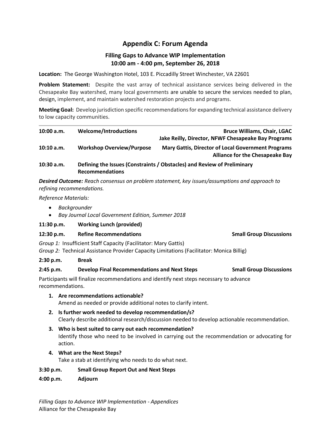# **Appendix C: Forum Agenda**

# **Filling Gaps to Advance WIP Implementation 10:00 am - 4:00 pm, September 26, 2018**

**Location:** The George Washington Hotel, 103 E. Piccadilly Street Winchester, VA 22601

**Problem Statement:** Despite the vast array of technical assistance services being delivered in the Chesapeake Bay watershed, many local governments are unable to secure the services needed to plan, design, implement, and maintain watershed restoration projects and programs.

**Meeting Goal:**Develop jurisdiction specific recommendations for expanding technical assistance delivery to low capacity communities.

| 10:00 a.m. | <b>Welcome/Introductions</b>     | <b>Bruce Williams, Chair, LGAC</b>                                                                  |
|------------|----------------------------------|-----------------------------------------------------------------------------------------------------|
|            |                                  | Jake Reilly, Director, NFWF Chesapeake Bay Programs                                                 |
| 10:10 a.m. | <b>Workshop Overview/Purpose</b> | <b>Mary Gattis, Director of Local Government Programs</b><br><b>Alliance for the Chesapeake Bay</b> |
| 10:30 a.m. | <b>Recommendations</b>           | Defining the Issues (Constraints / Obstacles) and Review of Preliminary                             |

*Desired Outcome: Reach consensus on problem statement, key issues/assumptions and approach to refining recommendations.* 

*Reference Materials:* 

- *Backgrounder*
- *Bay Journal Local Government Edition, Summer 2018*
- **11:30 p.m. Working Lunch (provided)**

### **12:30 p.m. Refine Recommendations Small Group Discussions**

*Group 1:* Insufficient Staff Capacity (Facilitator: Mary Gattis)

*Group 2:* Technical Assistance Provider Capacity Limitations (Facilitator: Monica Billig)

### **2:30 p.m. Break**

**2:45 p.m. Develop Final Recommendations and Next Steps Small Group Discussions**

Participants will finalize recommendations and identify next steps necessary to advance recommendations.

- **1. Are recommendations actionable?**  Amend as needed or provide additional notes to clarify intent.
- **2. Is further work needed to develop recommendation/s?** Clearly describe additional research/discussion needed to develop actionable recommendation.
- **3. Who is best suited to carry out each recommendation?**  Identify those who need to be involved in carrying out the recommendation or advocating for action.
- **4. What are the Next Steps?**

Take a stab at identifying who needs to do what next.

## **3:30 p.m. Small Group Report Out and Next Steps**

**4:00 p.m. Adjourn**

*Filling Gaps to Advance WIP Implementation - Appendices*  Alliance for the Chesapeake Bay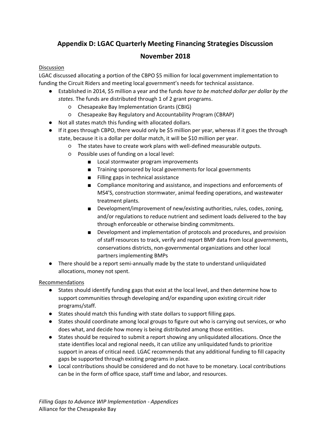# **Appendix D: LGAC Quarterly Meeting Financing Strategies Discussion**

# **November 2018**

## Discussion

LGAC discussed allocating a portion of the CBPO \$5 million for local government implementation to funding the Circuit Riders and meeting local government's needs for technical assistance.

- Established in 2014, \$5 million a year and the funds *have to be matched dollar per dollar by the states*. The funds are distributed through 1 of 2 grant programs.
	- Chesapeake Bay Implementation Grants (CBIG)
	- Chesapeake Bay Regulatory and Accountability Program (CBRAP)
- Not all states match this funding with allocated dollars.
- If it goes through CBPO, there would only be \$5 million per year, whereas if it goes the through state, because it is a dollar per dollar match, it will be \$10 million per year.
	- The states have to create work plans with well-defined measurable outputs.
	- Possible uses of funding on a local level:
		- Local stormwater program improvements
		- Training sponsored by local governments for local governments
		- Filling gaps in technical assistance
		- Compliance monitoring and assistance, and inspections and enforcements of MS4'S, construction stormwater, animal feeding operations, and wastewater treatment plants.
		- Development/improvement of new/existing authorities, rules, codes, zoning, and/or regulations to reduce nutrient and sediment loads delivered to the bay through enforceable or otherwise binding commitments.
		- Development and implementation of protocols and procedures, and provision of staff resources to track, verify and report BMP data from local governments, conservations districts, non-governmental organizations and other local partners implementing BMPs
- There should be a report semi-annually made by the state to understand unliquidated allocations, money not spent.

## Recommendations

- States should identify funding gaps that exist at the local level, and then determine how to support communities through developing and/or expanding upon existing circuit rider programs/staff.
- States should match this funding with state dollars to support filling gaps.
- States should coordinate among local groups to figure out who is carrying out services, or who does what, and decide how money is being distributed among those entities.
- States should be required to submit a report showing any unliquidated allocations. Once the state identifies local and regional needs, it can utilize any unliquidated funds to prioritize support in areas of critical need. LGAC recommends that any additional funding to fill capacity gaps be supported through existing programs in place.
- Local contributions should be considered and do not have to be monetary. Local contributions can be in the form of office space, staff time and labor, and resources.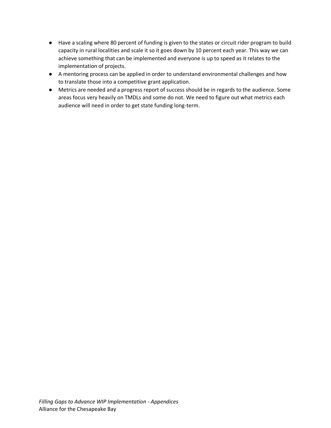- Have a scaling where 80 percent of funding is given to the states or circuit rider program to build capacity in rural localities and scale it so it goes down by 10 percent each year. This way we can achieve something that can be implemented and everyone is up to speed as it relates to the implementation of projects.
- A mentoring process can be applied in order to understand environmental challenges and how to translate those into a competitive grant application.
- Metrics are needed and a progress report of success should be in regards to the audience. Some areas focus very heavily on TMDLs and some do not. We need to figure out what metrics each audience will need in order to get state funding long-term.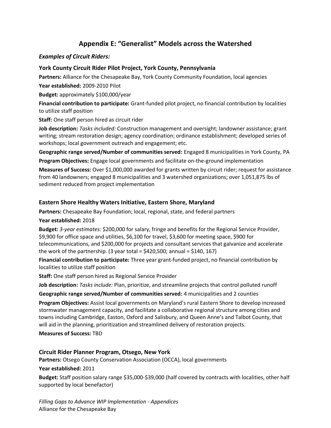# **Appendix E: "Generalist" Models across the Watershed**

# *Examples of Circuit Riders:*

# **York County Circuit Rider Pilot Project, York County, Pennsylvania**

**Partners:** Alliance for the Chesapeake Bay, York County Community Foundation, local agencies

**Year established:** 2009-2010 Pilot

**Budget:** approximately \$100,000/year

**Financial contribution to participate:** Grant-funded pilot project, no financial contribution by localities to utilize staff position

**Staff:** One staff person hired as circuit rider

**Job description:** *Tasks included:* Construction management and oversight; landowner assistance; grant writing; stream restoration design; agency coordination; ordinance establishment; developed series of workshops; local government outreach and engagement; etc.

**Geographic range served/Number of communities served:** Engaged 8 municipalities in York County, PA

**Program Objectives:** Engage local governments and facilitate on-the-ground implementation **Measures of Success:** Over \$1,000,000 awarded for grants written by circuit rider; request for assistance from 40 landowners; engaged 8 municipalities and 3 watershed organizations; over 1,051,875 lbs of sediment reduced from project implementation

# **Eastern Shore Healthy Waters Initiative, Eastern Shore, Maryland**

**Partners:** Chesapeake Bay Foundation; local, regional, state, and federal partners

## **Year established:** 2018

**Budget:** *3-year estimates:* \$200,000 for salary, fringe and benefits for the Regional Service Provider, \$9,900 for office space and utilities, \$6,100 for travel, \$3,600 for meeting space, \$900 for telecommunications, and \$200,000 for projects and consultant services that galvanize and accelerate the work of the partnership. (3 year total =  $$420,500$ ; annual =  $$140, 167$ )

**Financial contribution to participate:** Three year grant-funded project, no financial contribution by localities to utilize staff position

**Staff:** One staff person hired as Regional Service Provider

**Job description:** *Tasks include:* Plan, prioritize, and streamline projects that control polluted runoff

**Geographic range served/Number of communities served:** 4 municipalities and 2 counties

**Program Objectives:** Assist local governments on Maryland's rural Eastern Shore to develop increased stormwater management capacity, and facilitate a collaborative regional structure among cities and towns including Cambridge, Easton, Oxford and Salisbury, and Queen Anne's and Talbot County, that will aid in the planning, prioritization and streamlined delivery of restoration projects.

### **Measures of Success:** TBD

**Circuit Rider Planner Program, Otsego, New York** 

**Partners:** Otsego County Conservation Association (OCCA), local governments

**Year established:** 2011

**Budget:** Staff position salary range \$35,000-\$39,000 (half covered by contracts with localities, other half supported by local benefactor)

*Filling Gaps to Advance WIP Implementation - Appendices*  Alliance for the Chesapeake Bay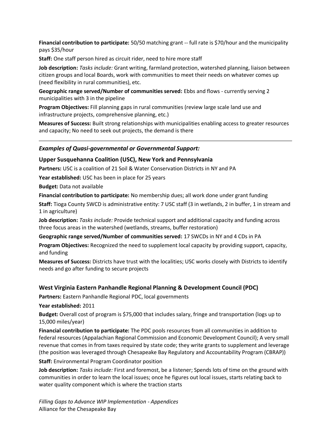**Financial contribution to participate:** 50/50 matching grant -- full rate is \$70/hour and the municipality pays \$35/hour

**Staff:** One staff person hired as circuit rider, need to hire more staff

**Job description:** *Tasks include:* Grant writing, farmland protection, watershed planning, liaison between citizen groups and local Boards, work with communities to meet their needs on whatever comes up (need flexibility in rural communities), etc.

**Geographic range served/Number of communities served:** Ebbs and flows - currently serving 2 municipalities with 3 in the pipeline

**Program Objectives:** Fill planning gaps in rural communities (review large scale land use and infrastructure projects, comprehensive planning, etc.)

**Measures of Success:** Built strong relationships with municipalities enabling access to greater resources and capacity; No need to seek out projects, the demand is there

#### *Examples of Quasi-governmental or Governmental Support:*

#### **Upper Susquehanna Coalition (USC), New York and Pennsylvania**

**Partners:** USC is a coalition of 21 Soil & Water Conservation Districts in NY and PA

**Year established:** USC has been in place for 25 years

**Budget:** Data not available

**Financial contribution to participate:** No membership dues; all work done under grant funding

**Staff:** Tioga County SWCD is administrative entity: 7 USC staff (3 in wetlands, 2 in buffer, 1 in stream and 1 in agriculture)

**Job description:** *Tasks include:* Provide technical support and additional capacity and funding across three focus areas in the watershed (wetlands, streams, buffer restoration)

**Geographic range served/Number of communities served:** 17 SWCDs in NY and 4 CDs in PA

**Program Objectives:** Recognized the need to supplement local capacity by providing support, capacity, and funding

**Measures of Success:** Districts have trust with the localities; USC works closely with Districts to identify needs and go after funding to secure projects

#### **West Virginia Eastern Panhandle Regional Planning & Development Council (PDC)**

**Partners:** Eastern Panhandle Regional PDC, local governments

**Year established:** 2011

**Budget:** Overall cost of program is \$75,000 that includes salary, fringe and transportation (logs up to 15,000 miles/year)

**Financial contribution to participate:** The PDC pools resources from all communities in addition to federal resources (Appalachian Regional Commission and Economic Development Council); A very small revenue that comes in from taxes required by state code; they write grants to supplement and leverage (the position was leveraged through Chesapeake Bay Regulatory and Accountability Program (CBRAP))

**Staff:** Environmental Program Coordinator position

**Job description:** *Tasks include:* First and foremost, be a listener; Spends lots of time on the ground with communities in order to learn the local issues; once he figures out local issues, starts relating back to water quality component which is where the traction starts

*Filling Gaps to Advance WIP Implementation - Appendices*  Alliance for the Chesapeake Bay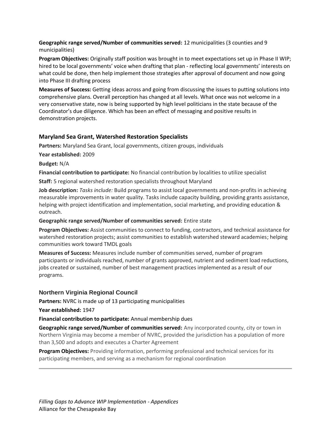### **Geographic range served/Number of communities served:** 12 municipalities (3 counties and 9 municipalities)

**Program Objectives:** Originally staff position was brought in to meet expectations set up in Phase II WIP; hired to be local governments' voice when drafting that plan - reflecting local governments' interests on what could be done, then help implement those strategies after approval of document and now going into Phase III drafting process

**Measures of Success:** Getting ideas across and going from discussing the issues to putting solutions into comprehensive plans. Overall perception has changed at all levels. What once was not welcome in a very conservative state, now is being supported by high level politicians in the state because of the Coordinator's due diligence. Which has been an effect of messaging and positive results in demonstration projects.

## **Maryland Sea Grant, Watershed Restoration Specialists**

**Partners:** Maryland Sea Grant, local governments, citizen groups, individuals

**Year established:** 2009

**Budget:** N/A

**Financial contribution to participate:** No financial contribution by localities to utilize specialist

**Staff:** 5 regional watershed restoration specialists throughout Maryland

**Job description:** *Tasks include:* Build programs to assist local governments and non-profits in achieving measurable improvements in water quality. Tasks include capacity building, providing grants assistance, helping with project identification and implementation, social marketing, and providing education & outreach.

**Geographic range served/Number of communities served:** Entire state

**Program Objectives:** Assist communities to connect to funding, contractors, and technical assistance for watershed restoration projects; assist communities to establish watershed steward academies; helping communities work toward TMDL goals

**Measures of Success:** Measures include number of communities served, number of program participants or individuals reached, number of grants approved, nutrient and sediment load reductions, jobs created or sustained, number of best management practices implemented as a result of our programs.

## **Northern Virginia Regional Council**

**Partners:** NVRC is made up of 13 participating municipalities

**Year established:** 1947

**Financial contribution to participate:** Annual membership dues

**Geographic range served/Number of communities served:** Any incorporated county, city or town in Northern Virginia may become a member of NVRC, provided the jurisdiction has a population of more than 3,500 and adopts and executes a Charter Agreement

**Program Objectives:** Providing information, performing professional and technical services for its participating members, and serving as a mechanism for regional coordination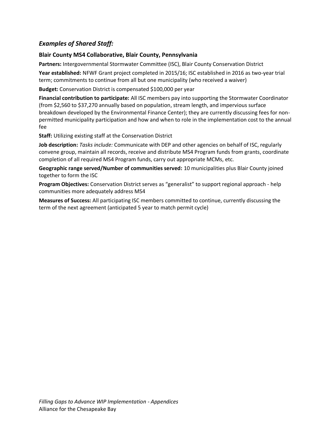# *Examples of Shared Staff:*

# **Blair County MS4 Collaborative, Blair County, Pennsylvania**

**Partners:** Intergovernmental Stormwater Committee (ISC), Blair County Conservation District

**Year established:** NFWF Grant project completed in 2015/16; ISC established in 2016 as two-year trial term; commitments to continue from all but one municipality (who received a waiver)

**Budget:** Conservation District is compensated \$100,000 per year

**Financial contribution to participate:** All ISC members pay into supporting the Stormwater Coordinator (from \$2,560 to \$37,270 annually based on population, stream length, and impervious surface breakdown developed by the Environmental Finance Center); they are currently discussing fees for nonpermitted municipality participation and how and when to role in the implementation cost to the annual fee

**Staff:** Utilizing existing staff at the Conservation District

**Job description:** *Tasks include:* Communicate with DEP and other agencies on behalf of ISC, regularly convene group, maintain all records, receive and distribute MS4 Program funds from grants, coordinate completion of all required MS4 Program funds, carry out appropriate MCMs, etc.

**Geographic range served/Number of communities served:** 10 municipalities plus Blair County joined together to form the ISC

**Program Objectives:** Conservation District serves as "generalist" to support regional approach - help communities more adequately address MS4

**Measures of Success:** All participating ISC members committed to continue, currently discussing the term of the next agreement (anticipated 5 year to match permit cycle)